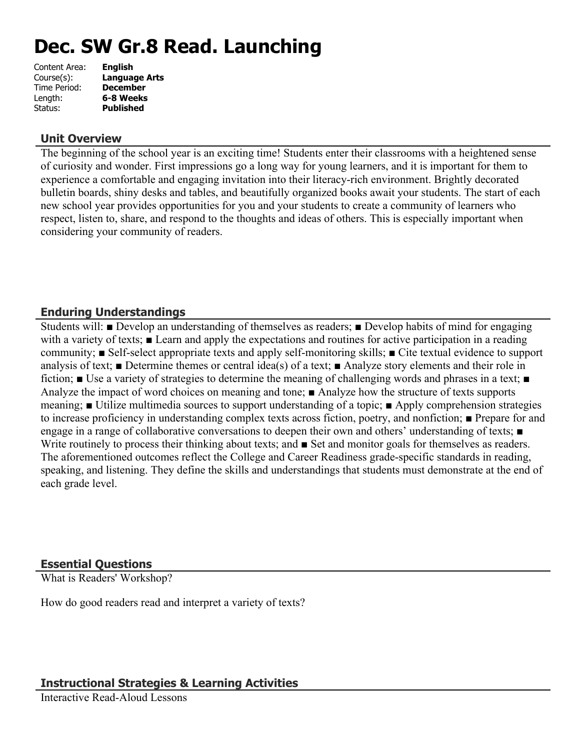# **Dec. SW Gr.8 Read. Launching**

| Content Area: | <b>English</b>   |
|---------------|------------------|
| Course(s):    | Language Arts    |
| Time Period:  | <b>December</b>  |
| Length:       | 6-8 Weeks        |
| Status:       | <b>Published</b> |
|               |                  |

### **Unit Overview**

The beginning of the school year is an exciting time! Students enter their classrooms with a heightened sense of curiosity and wonder. First impressions go a long way for young learners, and it is important for them to experience a comfortable and engaging invitation into their literacy-rich environment. Brightly decorated bulletin boards, shiny desks and tables, and beautifully organized books await your students. The start of each new school year provides opportunities for you and your students to create a community of learners who respect, listen to, share, and respond to the thoughts and ideas of others. This is especially important when considering your community of readers.

# **Enduring Understandings**

Students will: ■ Develop an understanding of themselves as readers; ■ Develop habits of mind for engaging with a variety of texts; **■** Learn and apply the expectations and routines for active participation in a reading community; ■ Self-select appropriate texts and apply self-monitoring skills; ■ Cite textual evidence to support analysis of text; ■ Determine themes or central idea(s) of a text; ■ Analyze story elements and their role in fiction; ■ Use a variety of strategies to determine the meaning of challenging words and phrases in a text; ■ Analyze the impact of word choices on meaning and tone; ■ Analyze how the structure of texts supports meaning; ■ Utilize multimedia sources to support understanding of a topic; ■ Apply comprehension strategies to increase proficiency in understanding complex texts across fiction, poetry, and nonfiction; ■ Prepare for and engage in a range of collaborative conversations to deepen their own and others' understanding of texts; ■ Write routinely to process their thinking about texts; and ■ Set and monitor goals for themselves as readers. The aforementioned outcomes reflect the College and Career Readiness grade-specific standards in reading, speaking, and listening. They define the skills and understandings that students must demonstrate at the end of each grade level.

# **Essential Questions**

What is Readers' Workshop?

How do good readers read and interpret a variety of texts?

# **Instructional Strategies & Learning Activities**

Interactive Read-Aloud Lessons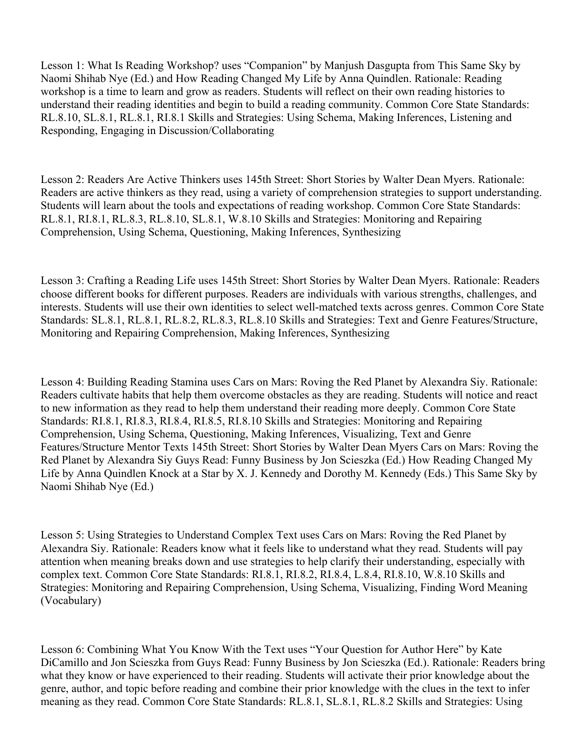Lesson 1: What Is Reading Workshop? uses "Companion" by Manjush Dasgupta from This Same Sky by Naomi Shihab Nye (Ed.) and How Reading Changed My Life by Anna Quindlen. Rationale: Reading workshop is a time to learn and grow as readers. Students will reflect on their own reading histories to understand their reading identities and begin to build a reading community. Common Core State Standards: RL.8.10, SL.8.1, RL.8.1, RI.8.1 Skills and Strategies: Using Schema, Making Inferences, Listening and Responding, Engaging in Discussion/Collaborating

Lesson 2: Readers Are Active Thinkers uses 145th Street: Short Stories by Walter Dean Myers. Rationale: Readers are active thinkers as they read, using a variety of comprehension strategies to support understanding. Students will learn about the tools and expectations of reading workshop. Common Core State Standards: RL.8.1, RI.8.1, RL.8.3, RL.8.10, SL.8.1, W.8.10 Skills and Strategies: Monitoring and Repairing Comprehension, Using Schema, Questioning, Making Inferences, Synthesizing

Lesson 3: Crafting a Reading Life uses 145th Street: Short Stories by Walter Dean Myers. Rationale: Readers choose different books for different purposes. Readers are individuals with various strengths, challenges, and interests. Students will use their own identities to select well-matched texts across genres. Common Core State Standards: SL.8.1, RL.8.1, RL.8.2, RL.8.3, RL.8.10 Skills and Strategies: Text and Genre Features/Structure, Monitoring and Repairing Comprehension, Making Inferences, Synthesizing

Lesson 4: Building Reading Stamina uses Cars on Mars: Roving the Red Planet by Alexandra Siy. Rationale: Readers cultivate habits that help them overcome obstacles as they are reading. Students will notice and react to new information as they read to help them understand their reading more deeply. Common Core State Standards: RI.8.1, RI.8.3, RI.8.4, RI.8.5, RI.8.10 Skills and Strategies: Monitoring and Repairing Comprehension, Using Schema, Questioning, Making Inferences, Visualizing, Text and Genre Features/Structure Mentor Texts 145th Street: Short Stories by Walter Dean Myers Cars on Mars: Roving the Red Planet by Alexandra Siy Guys Read: Funny Business by Jon Scieszka (Ed.) How Reading Changed My Life by Anna Quindlen Knock at a Star by X. J. Kennedy and Dorothy M. Kennedy (Eds.) This Same Sky by Naomi Shihab Nye (Ed.)

Lesson 5: Using Strategies to Understand Complex Text uses Cars on Mars: Roving the Red Planet by Alexandra Siy. Rationale: Readers know what it feels like to understand what they read. Students will pay attention when meaning breaks down and use strategies to help clarify their understanding, especially with complex text. Common Core State Standards: RI.8.1, RI.8.2, RI.8.4, L.8.4, RI.8.10, W.8.10 Skills and Strategies: Monitoring and Repairing Comprehension, Using Schema, Visualizing, Finding Word Meaning (Vocabulary)

Lesson 6: Combining What You Know With the Text uses "Your Question for Author Here" by Kate DiCamillo and Jon Scieszka from Guys Read: Funny Business by Jon Scieszka (Ed.). Rationale: Readers bring what they know or have experienced to their reading. Students will activate their prior knowledge about the genre, author, and topic before reading and combine their prior knowledge with the clues in the text to infer meaning as they read. Common Core State Standards: RL.8.1, SL.8.1, RL.8.2 Skills and Strategies: Using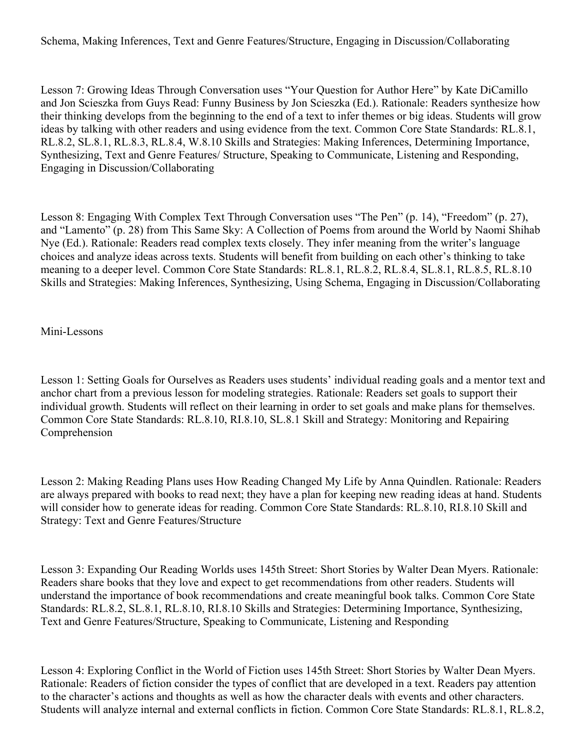Schema, Making Inferences, Text and Genre Features/Structure, Engaging in Discussion/Collaborating

Lesson 7: Growing Ideas Through Conversation uses "Your Question for Author Here" by Kate DiCamillo and Jon Scieszka from Guys Read: Funny Business by Jon Scieszka (Ed.). Rationale: Readers synthesize how their thinking develops from the beginning to the end of a text to infer themes or big ideas. Students will grow ideas by talking with other readers and using evidence from the text. Common Core State Standards: RL.8.1, RL.8.2, SL.8.1, RL.8.3, RL.8.4, W.8.10 Skills and Strategies: Making Inferences, Determining Importance, Synthesizing, Text and Genre Features/ Structure, Speaking to Communicate, Listening and Responding, Engaging in Discussion/Collaborating

Lesson 8: Engaging With Complex Text Through Conversation uses "The Pen" (p. 14), "Freedom" (p. 27), and "Lamento" (p. 28) from This Same Sky: A Collection of Poems from around the World by Naomi Shihab Nye (Ed.). Rationale: Readers read complex texts closely. They infer meaning from the writer's language choices and analyze ideas across texts. Students will benefit from building on each other's thinking to take meaning to a deeper level. Common Core State Standards: RL.8.1, RL.8.2, RL.8.4, SL.8.1, RL.8.5, RL.8.10 Skills and Strategies: Making Inferences, Synthesizing, Using Schema, Engaging in Discussion/Collaborating

Mini-Lessons

Lesson 1: Setting Goals for Ourselves as Readers uses students' individual reading goals and a mentor text and anchor chart from a previous lesson for modeling strategies. Rationale: Readers set goals to support their individual growth. Students will reflect on their learning in order to set goals and make plans for themselves. Common Core State Standards: RL.8.10, RI.8.10, SL.8.1 Skill and Strategy: Monitoring and Repairing Comprehension

Lesson 2: Making Reading Plans uses How Reading Changed My Life by Anna Quindlen. Rationale: Readers are always prepared with books to read next; they have a plan for keeping new reading ideas at hand. Students will consider how to generate ideas for reading. Common Core State Standards: RL.8.10, RI.8.10 Skill and Strategy: Text and Genre Features/Structure

Lesson 3: Expanding Our Reading Worlds uses 145th Street: Short Stories by Walter Dean Myers. Rationale: Readers share books that they love and expect to get recommendations from other readers. Students will understand the importance of book recommendations and create meaningful book talks. Common Core State Standards: RL.8.2, SL.8.1, RL.8.10, RI.8.10 Skills and Strategies: Determining Importance, Synthesizing, Text and Genre Features/Structure, Speaking to Communicate, Listening and Responding

Lesson 4: Exploring Conflict in the World of Fiction uses 145th Street: Short Stories by Walter Dean Myers. Rationale: Readers of fiction consider the types of conflict that are developed in a text. Readers pay attention to the character's actions and thoughts as well as how the character deals with events and other characters. Students will analyze internal and external conflicts in fiction. Common Core State Standards: RL.8.1, RL.8.2,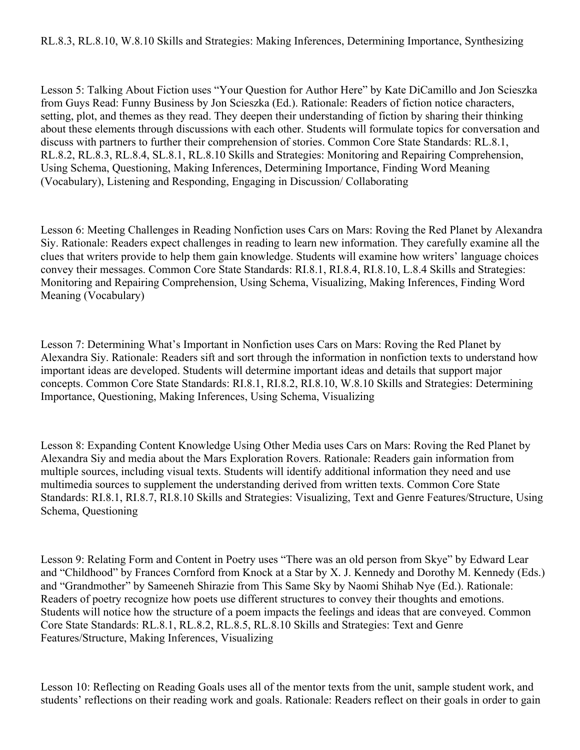Lesson 5: Talking About Fiction uses "Your Question for Author Here" by Kate DiCamillo and Jon Scieszka from Guys Read: Funny Business by Jon Scieszka (Ed.). Rationale: Readers of fiction notice characters, setting, plot, and themes as they read. They deepen their understanding of fiction by sharing their thinking about these elements through discussions with each other. Students will formulate topics for conversation and discuss with partners to further their comprehension of stories. Common Core State Standards: RL.8.1, RL.8.2, RL.8.3, RL.8.4, SL.8.1, RL.8.10 Skills and Strategies: Monitoring and Repairing Comprehension, Using Schema, Questioning, Making Inferences, Determining Importance, Finding Word Meaning (Vocabulary), Listening and Responding, Engaging in Discussion/ Collaborating

Lesson 6: Meeting Challenges in Reading Nonfiction uses Cars on Mars: Roving the Red Planet by Alexandra Siy. Rationale: Readers expect challenges in reading to learn new information. They carefully examine all the clues that writers provide to help them gain knowledge. Students will examine how writers' language choices convey their messages. Common Core State Standards: RI.8.1, RI.8.4, RI.8.10, L.8.4 Skills and Strategies: Monitoring and Repairing Comprehension, Using Schema, Visualizing, Making Inferences, Finding Word Meaning (Vocabulary)

Lesson 7: Determining What's Important in Nonfiction uses Cars on Mars: Roving the Red Planet by Alexandra Siy. Rationale: Readers sift and sort through the information in nonfiction texts to understand how important ideas are developed. Students will determine important ideas and details that support major concepts. Common Core State Standards: RI.8.1, RI.8.2, RI.8.10, W.8.10 Skills and Strategies: Determining Importance, Questioning, Making Inferences, Using Schema, Visualizing

Lesson 8: Expanding Content Knowledge Using Other Media uses Cars on Mars: Roving the Red Planet by Alexandra Siy and media about the Mars Exploration Rovers. Rationale: Readers gain information from multiple sources, including visual texts. Students will identify additional information they need and use multimedia sources to supplement the understanding derived from written texts. Common Core State Standards: RI.8.1, RI.8.7, RI.8.10 Skills and Strategies: Visualizing, Text and Genre Features/Structure, Using Schema, Questioning

Lesson 9: Relating Form and Content in Poetry uses "There was an old person from Skye" by Edward Lear and "Childhood" by Frances Cornford from Knock at a Star by X. J. Kennedy and Dorothy M. Kennedy (Eds.) and "Grandmother" by Sameeneh Shirazie from This Same Sky by Naomi Shihab Nye (Ed.). Rationale: Readers of poetry recognize how poets use different structures to convey their thoughts and emotions. Students will notice how the structure of a poem impacts the feelings and ideas that are conveyed. Common Core State Standards: RL.8.1, RL.8.2, RL.8.5, RL.8.10 Skills and Strategies: Text and Genre Features/Structure, Making Inferences, Visualizing

Lesson 10: Reflecting on Reading Goals uses all of the mentor texts from the unit, sample student work, and students' reflections on their reading work and goals. Rationale: Readers reflect on their goals in order to gain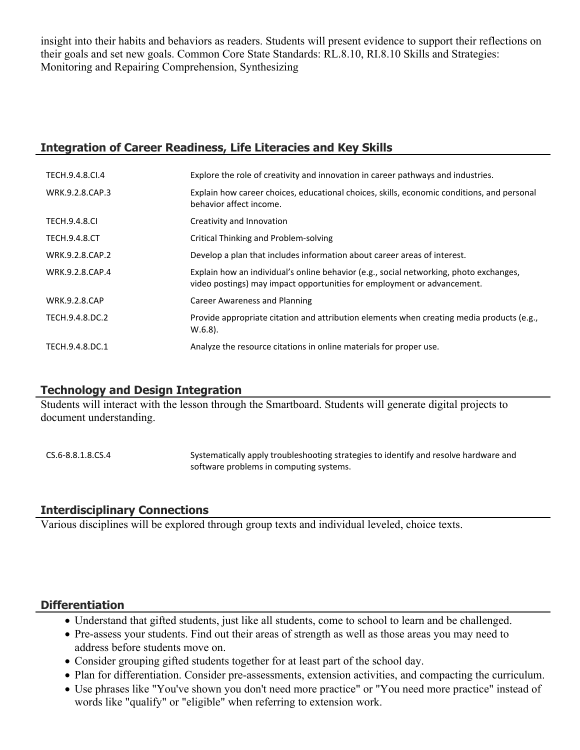insight into their habits and behaviors as readers. Students will present evidence to support their reflections on their goals and set new goals. Common Core State Standards: RL.8.10, RI.8.10 Skills and Strategies: Monitoring and Repairing Comprehension, Synthesizing

### **Integration of Career Readiness, Life Literacies and Key Skills**

| TECH.9.4.8.CI.4      | Explore the role of creativity and innovation in career pathways and industries.                                                                                  |
|----------------------|-------------------------------------------------------------------------------------------------------------------------------------------------------------------|
| WRK.9.2.8.CAP.3      | Explain how career choices, educational choices, skills, economic conditions, and personal<br>behavior affect income.                                             |
| <b>TECH.9.4.8.CI</b> | Creativity and Innovation                                                                                                                                         |
| <b>TECH.9.4.8.CT</b> | Critical Thinking and Problem-solving                                                                                                                             |
| WRK.9.2.8.CAP.2      | Develop a plan that includes information about career areas of interest.                                                                                          |
| WRK.9.2.8.CAP.4      | Explain how an individual's online behavior (e.g., social networking, photo exchanges,<br>video postings) may impact opportunities for employment or advancement. |
| <b>WRK.9.2.8.CAP</b> | <b>Career Awareness and Planning</b>                                                                                                                              |
| TECH.9.4.8.DC.2      | Provide appropriate citation and attribution elements when creating media products (e.g.,<br>$W.6.8$ ).                                                           |
| TECH.9.4.8.DC.1      | Analyze the resource citations in online materials for proper use.                                                                                                |

# **Technology and Design Integration**

Students will interact with the lesson through the Smartboard. Students will generate digital projects to document understanding.

CS.6-8.8.1.8.CS.4 Systematically apply troubleshooting strategies to identify and resolve hardware and software problems in computing systems.

# **Interdisciplinary Connections**

Various disciplines will be explored through group texts and individual leveled, choice texts.

# **Differentiation**

- Understand that gifted students, just like all students, come to school to learn and be challenged.
- Pre-assess your students. Find out their areas of strength as well as those areas you may need to address before students move on.
- Consider grouping gifted students together for at least part of the school day.
- Plan for differentiation. Consider pre-assessments, extension activities, and compacting the curriculum.
- Use phrases like "You've shown you don't need more practice" or "You need more practice" instead of words like "qualify" or "eligible" when referring to extension work.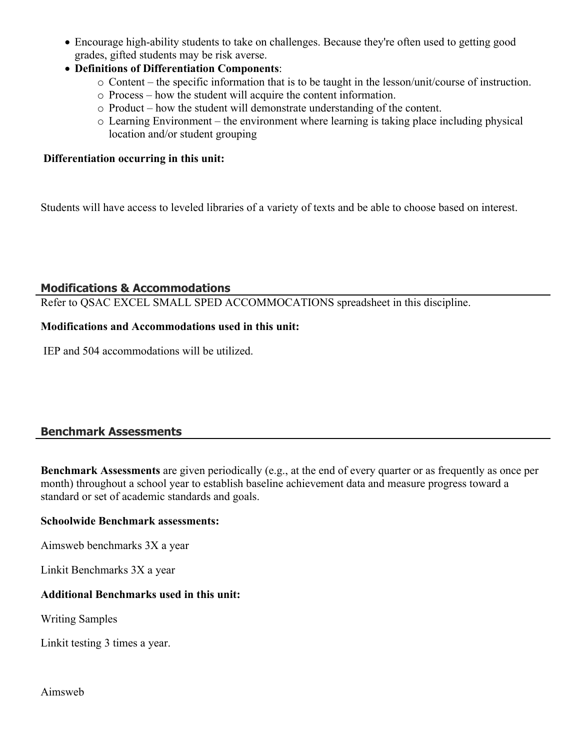- Encourage high-ability students to take on challenges. Because they're often used to getting good grades, gifted students may be risk averse.
- **Definitions of Differentiation Components**:
	- o Content the specific information that is to be taught in the lesson/unit/course of instruction.
	- o Process how the student will acquire the content information.
	- o Product how the student will demonstrate understanding of the content.
	- o Learning Environment the environment where learning is taking place including physical location and/or student grouping

#### **Differentiation occurring in this unit:**

Students will have access to leveled libraries of a variety of texts and be able to choose based on interest.

#### **Modifications & Accommodations**

Refer to QSAC EXCEL SMALL SPED ACCOMMOCATIONS spreadsheet in this discipline.

#### **Modifications and Accommodations used in this unit:**

IEP and 504 accommodations will be utilized.

# **Benchmark Assessments**

**Benchmark Assessments** are given periodically (e.g., at the end of every quarter or as frequently as once per month) throughout a school year to establish baseline achievement data and measure progress toward a standard or set of academic standards and goals.

#### **Schoolwide Benchmark assessments:**

Aimsweb benchmarks 3X a year

Linkit Benchmarks 3X a year

#### **Additional Benchmarks used in this unit:**

Writing Samples

Linkit testing 3 times a year.

Aimsweb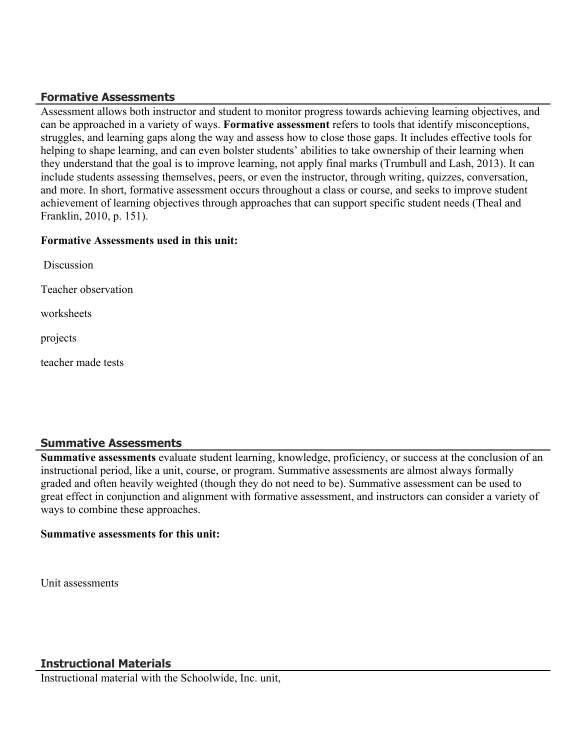### **Formative Assessments**

Assessment allows both instructor and student to monitor progress towards achieving learning objectives, and can be approached in a variety of ways. **Formative assessment** refers to tools that identify misconceptions, struggles, and learning gaps along the way and assess how to close those gaps. It includes effective tools for helping to shape learning, and can even bolster students' abilities to take ownership of their learning when they understand that the goal is to improve learning, not apply final marks (Trumbull and Lash, 2013). It can include students assessing themselves, peers, or even the instructor, through writing, quizzes, conversation, and more. In short, formative assessment occurs throughout a class or course, and seeks to improve student achievement of learning objectives through approaches that can support specific student needs (Theal and Franklin, 2010, p. 151).

#### **Formative Assessments used in this unit:**

| Discussion          |
|---------------------|
| Teacher observation |
| worksheets          |
| projects            |
| teacher made tests  |

#### **Summative Assessments**

**Summative assessments** evaluate student learning, knowledge, proficiency, or success at the conclusion of an instructional period, like a unit, course, or program. Summative assessments are almost always formally graded and often heavily weighted (though they do not need to be). Summative assessment can be used to great effect in conjunction and alignment with formative assessment, and instructors can consider a variety of ways to combine these approaches.

#### **Summative assessments for this unit:**

Unit assessments

# **Instructional Materials**

Instructional material with the Schoolwide, Inc. unit,